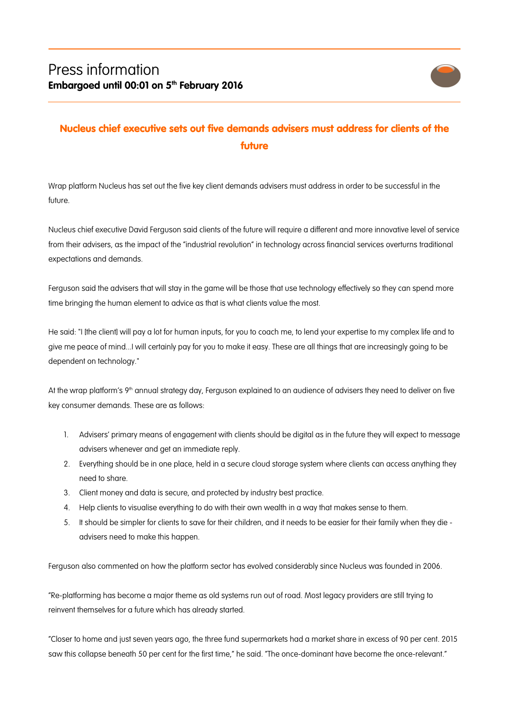

## Nucleus chief executive sets out five demands advisers must address for clients of the future

Wrap platform Nucleus has set out the five key client demands advisers must address in order to be successful in the future.

Nucleus chief executive David Ferguson said clients of the future will require a different and more innovative level of service from their advisers, as the impact of the "industrial revolution" in technology across financial services overturns traditional expectations and demands.

Ferguson said the advisers that will stay in the game will be those that use technology effectively so they can spend more time bringing the human element to advice as that is what clients value the most.

He said: "I [the client] will pay a lot for human inputs, for you to coach me, to lend your expertise to my complex life and to give me peace of mind...I will certainly pay for you to make it easy. These are all things that are increasingly going to be dependent on technology."

At the wrap platform's 9<sup>th</sup> annual strategy day, Ferguson explained to an audience of advisers they need to deliver on five key consumer demands. These are as follows:

- 1. Advisers' primary means of engagement with clients should be digital as in the future they will expect to message advisers whenever and get an immediate reply.
- 2. Everything should be in one place, held in a secure cloud storage system where clients can access anything they need to share.
- 3. Client money and data is secure, and protected by industry best practice.
- 4. Help clients to visualise everything to do with their own wealth in a way that makes sense to them.
- 5. It should be simpler for clients to save for their children, and it needs to be easier for their family when they die advisers need to make this happen.

Ferguson also commented on how the platform sector has evolved considerably since Nucleus was founded in 2006.

"Re-platforming has become a major theme as old systems run out of road. Most legacy providers are still trying to reinvent themselves for a future which has already started.

"Closer to home and just seven years ago, the three fund supermarkets had a market share in excess of 90 per cent. 2015 saw this collapse beneath 50 per cent for the first time," he said. "The once-dominant have become the once-relevant."